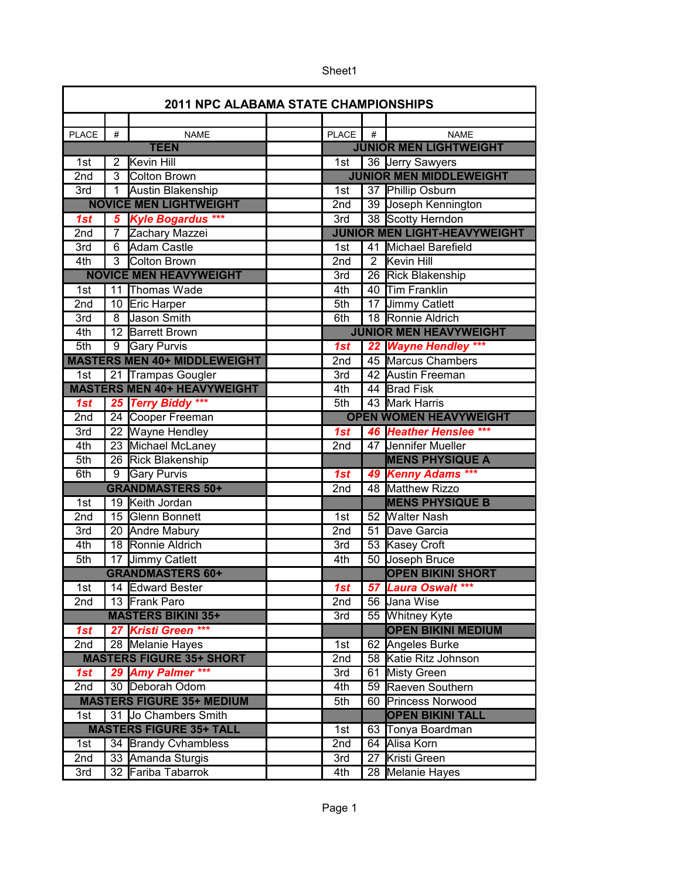| <b>2011 NPC ALABAMA STATE CHAMPIONSHIPS</b> |                |                                             |  |                               |                |                                             |
|---------------------------------------------|----------------|---------------------------------------------|--|-------------------------------|----------------|---------------------------------------------|
|                                             |                |                                             |  |                               |                |                                             |
| <b>PLACE</b>                                | #              | <b>NAME</b>                                 |  | PLACE                         | #              | <b>NAME</b>                                 |
| <b>TEEN</b>                                 |                |                                             |  | <b>JUNIOR MEN LIGHTWEIGHT</b> |                |                                             |
| 1st                                         | $\overline{2}$ | Kevin Hill                                  |  | $\overline{1st}$              |                | 36 Jerry Sawyers                            |
| 2nd                                         | 3              | <b>Colton Brown</b>                         |  |                               |                | <b>JUNIOR MEN MIDDLEWEIGHT</b>              |
| 3rd                                         |                | Austin Blakenship                           |  | 1st                           |                | 37 Phillip Osburn                           |
|                                             |                | <b>NOVICE MEN LIGHTWEIGHT</b>               |  | 2nd                           |                | 39 Joseph Kennington                        |
| 1st                                         | 5              | <b>Kyle Bogardus ***</b>                    |  | 3rd                           |                | 38 Scotty Herndon                           |
| 2nd                                         | $\overline{7}$ | Zachary Mazzei                              |  |                               |                | <b>JUNIOR MEN LIGHT-HEAVYWEIGHT</b>         |
| 3rd                                         | $\overline{6}$ | Adam Castle                                 |  | 1st                           |                | 41 Michael Barefield                        |
| 4th                                         |                | 3 Colton Brown                              |  | 2nd                           | $\overline{2}$ | <b>Kevin Hill</b>                           |
|                                             |                | <b>NOVICE MEN HEAVYWEIGHT</b>               |  | $\overline{3}$ rd             |                | 26 Rick Blakenship                          |
| 1st                                         |                | 11 Thomas Wade                              |  | 4th                           |                | 40 Tim Franklin                             |
| 2nd                                         |                | 10 Eric Harper                              |  | 5th                           |                | 17 Jimmy Catlett                            |
| 3rd                                         | 8              | Jason Smith                                 |  | 6th                           |                | 18 Ronnie Aldrich                           |
| 4th                                         |                | 12 Barrett Brown                            |  |                               |                | <b>JUNIOR MEN HEAVYWEIGHT</b>               |
| 5th                                         |                | 9 Gary Purvis                               |  | 1st                           |                | 22 Wayne Hendley ***                        |
|                                             |                | <b>MASTERS MEN 40+ MIDDLEWEIGHT</b>         |  | 2nd                           |                | 45 Marcus Chambers                          |
| 1st                                         |                | 21 Trampas Gougler                          |  | 3rd                           |                | 42 Austin Freeman                           |
|                                             |                | <b>MASTERS MEN 40+ HEAVYWEIGHT</b>          |  | 4th                           |                | 44 Brad Fisk                                |
| 1st                                         |                | 25 Terry Biddy ***                          |  | 5th                           |                | 43 Mark Harris                              |
| 2nd                                         |                | 24 Cooper Freeman                           |  |                               |                | <b>OPEN WOMEN HEAVYWEIGHT</b>               |
| 3rd                                         |                | 22 Wayne Hendley                            |  | 1st                           |                | 46 Heather Henslee ***                      |
| 4th                                         |                | 23 Michael McLaney                          |  | 2nd                           |                | 47 Jennifer Mueller                         |
| 5th                                         |                | 26 Rick Blakenship                          |  |                               |                | <b>MENS PHYSIQUE A</b>                      |
| 6th                                         | $\overline{9}$ | <b>Gary Purvis</b>                          |  | 1st                           |                | 49 Kenny Adams ***                          |
|                                             |                | <b>GRANDMASTERS 50+</b>                     |  | 2nd                           |                | 48 Matthew Rizzo                            |
| 1st                                         |                | 19 Keith Jordan                             |  |                               |                | <b>MENS PHYSIQUE B</b>                      |
| 2nd                                         |                | 15 Glenn Bonnett                            |  | 1st                           |                | 52 Walter Nash                              |
| 3rd                                         |                | 20 Andre Mabury                             |  | 2nd                           |                | 51 Dave Garcia                              |
| 4th                                         |                | 18 Ronnie Aldrich                           |  | 3rd                           |                | 53 Kasey Croft                              |
| 5th                                         |                | 17 Jimmy Catlett<br><b>GRANDMASTERS 60+</b> |  | 4th                           |                | 50 Joseph Bruce<br><b>OPEN BIKINI SHORT</b> |
|                                             |                |                                             |  |                               |                |                                             |
| 1st                                         |                | 14 Edward Bester                            |  | 1st                           |                | 57 Laura Oswalt ***                         |
| 2nd                                         |                | 13 Frank Paro                               |  | 2nd                           |                | 56 Jana Wise                                |
|                                             |                | <b>MASTERS BIKINI 35+</b>                   |  | 3rd                           |                | 55 Whitney Kyte                             |
| 1st                                         |                | 27 Kristi Green ***                         |  |                               |                | <b>OPEN BIKINI MEDIUM</b>                   |
| 2nd                                         |                | 28 Melanie Hayes                            |  | 1st                           |                | 62 Angeles Burke                            |
|                                             |                | <b>MASTERS FIGURE 35+ SHORT</b>             |  | 2nd                           |                | 58 Katie Ritz Johnson                       |
| 1st                                         |                | 29 Amy Palmer ***                           |  | 3rd                           |                | 61 Misty Green                              |
| 2nd                                         |                | 30 Deborah Odom                             |  | 4th                           |                | 59 Raeven Southern                          |
|                                             |                | <b>MASTERS FIGURE 35+ MEDIUM</b>            |  | 5th                           |                | 60 Princess Norwood                         |
| 1st                                         |                | 31 Jo Chambers Smith                        |  |                               |                | <b>OPEN BIKINI TALL</b>                     |
|                                             |                | <b>MASTERS FIGURE 35+ TALL</b>              |  | 1st                           |                | 63 Tonya Boardman                           |
| 1st                                         |                | 34 Brandy Cvhambless                        |  | 2nd                           |                | 64 Alisa Korn                               |
| 2nd                                         |                | 33 Amanda Sturgis                           |  | 3rd                           |                | 27 Kristi Green                             |
| 3rd                                         |                | 32 Fariba Tabarrok                          |  | 4th                           |                | 28 Melanie Hayes                            |

Sheet1